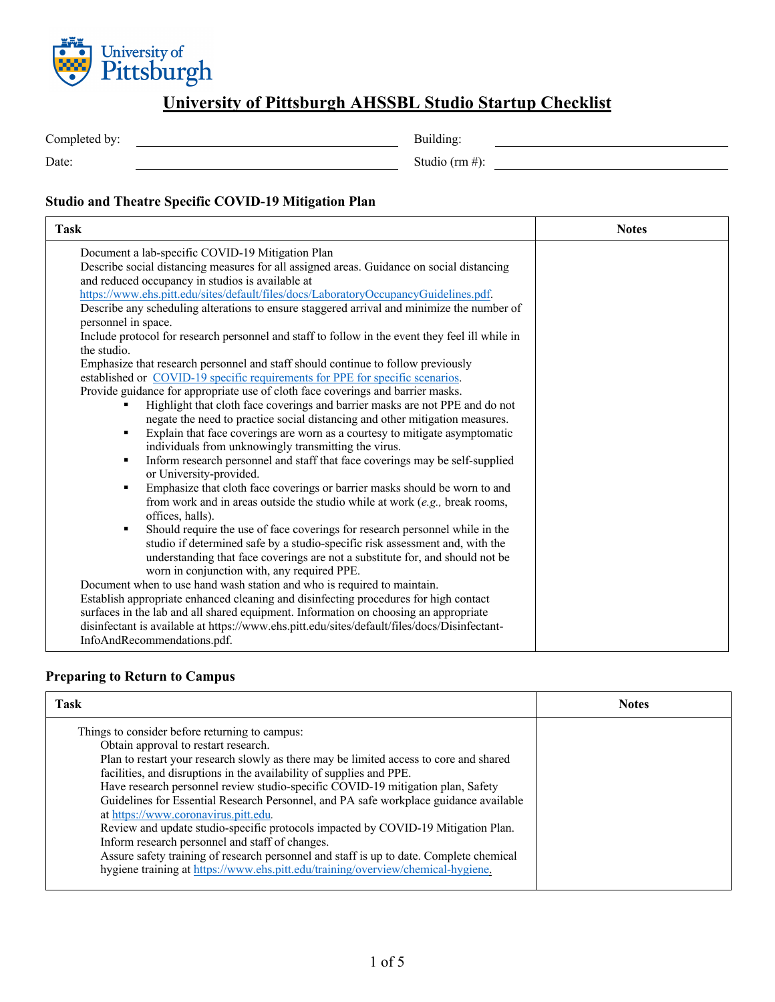

### **University of Pittsburgh AHSSBL Studio Startup Checklist**

| Completed by: | Building:      |
|---------------|----------------|
| Date:         | Studio (rm #): |
|               |                |

#### **Studio and Theatre Specific COVID-19 Mitigation Plan**

| <b>Task</b>                                                                                     | <b>Notes</b> |
|-------------------------------------------------------------------------------------------------|--------------|
| Document a lab-specific COVID-19 Mitigation Plan                                                |              |
| Describe social distancing measures for all assigned areas. Guidance on social distancing       |              |
| and reduced occupancy in studios is available at                                                |              |
| https://www.ehs.pitt.edu/sites/default/files/docs/LaboratoryOccupancyGuidelines.pdf.            |              |
| Describe any scheduling alterations to ensure staggered arrival and minimize the number of      |              |
| personnel in space.                                                                             |              |
| Include protocol for research personnel and staff to follow in the event they feel ill while in |              |
| the studio.                                                                                     |              |
| Emphasize that research personnel and staff should continue to follow previously                |              |
| established or COVID-19 specific requirements for PPE for specific scenarios.                   |              |
| Provide guidance for appropriate use of cloth face coverings and barrier masks.                 |              |
| Highlight that cloth face coverings and barrier masks are not PPE and do not                    |              |
| negate the need to practice social distancing and other mitigation measures.                    |              |
| Explain that face coverings are worn as a courtesy to mitigate asymptomatic<br>$\blacksquare$   |              |
| individuals from unknowingly transmitting the virus.                                            |              |
| Inform research personnel and staff that face coverings may be self-supplied<br>$\blacksquare$  |              |
| or University-provided.                                                                         |              |
| Emphasize that cloth face coverings or barrier masks should be worn to and<br>$\blacksquare$    |              |
| from work and in areas outside the studio while at work $(e.g., break rooms,$                   |              |
| offices, halls).                                                                                |              |
| Should require the use of face coverings for research personnel while in the<br>$\blacksquare$  |              |
| studio if determined safe by a studio-specific risk assessment and, with the                    |              |
| understanding that face coverings are not a substitute for, and should not be                   |              |
| worn in conjunction with, any required PPE.                                                     |              |
| Document when to use hand wash station and who is required to maintain.                         |              |
| Establish appropriate enhanced cleaning and disinfecting procedures for high contact            |              |
| surfaces in the lab and all shared equipment. Information on choosing an appropriate            |              |
| disinfectant is available at https://www.ehs.pitt.edu/sites/default/files/docs/Disinfectant-    |              |
| InfoAndRecommendations.pdf.                                                                     |              |

### **Preparing to Return to Campus**

| <b>Task</b>                                                                                                                                                                                                                                                                                                                                                                                                                                                                                                                                                                                                                                                                                                                                                                                         | <b>Notes</b> |
|-----------------------------------------------------------------------------------------------------------------------------------------------------------------------------------------------------------------------------------------------------------------------------------------------------------------------------------------------------------------------------------------------------------------------------------------------------------------------------------------------------------------------------------------------------------------------------------------------------------------------------------------------------------------------------------------------------------------------------------------------------------------------------------------------------|--------------|
| Things to consider before returning to campus:<br>Obtain approval to restart research.<br>Plan to restart your research slowly as there may be limited access to core and shared<br>facilities, and disruptions in the availability of supplies and PPE.<br>Have research personnel review studio-specific COVID-19 mitigation plan, Safety<br>Guidelines for Essential Research Personnel, and PA safe workplace guidance available<br>at https://www.coronavirus.pitt.edu.<br>Review and update studio-specific protocols impacted by COVID-19 Mitigation Plan.<br>Inform research personnel and staff of changes.<br>Assure safety training of research personnel and staff is up to date. Complete chemical<br>hygiene training at https://www.ehs.pitt.edu/training/overview/chemical-hygiene. |              |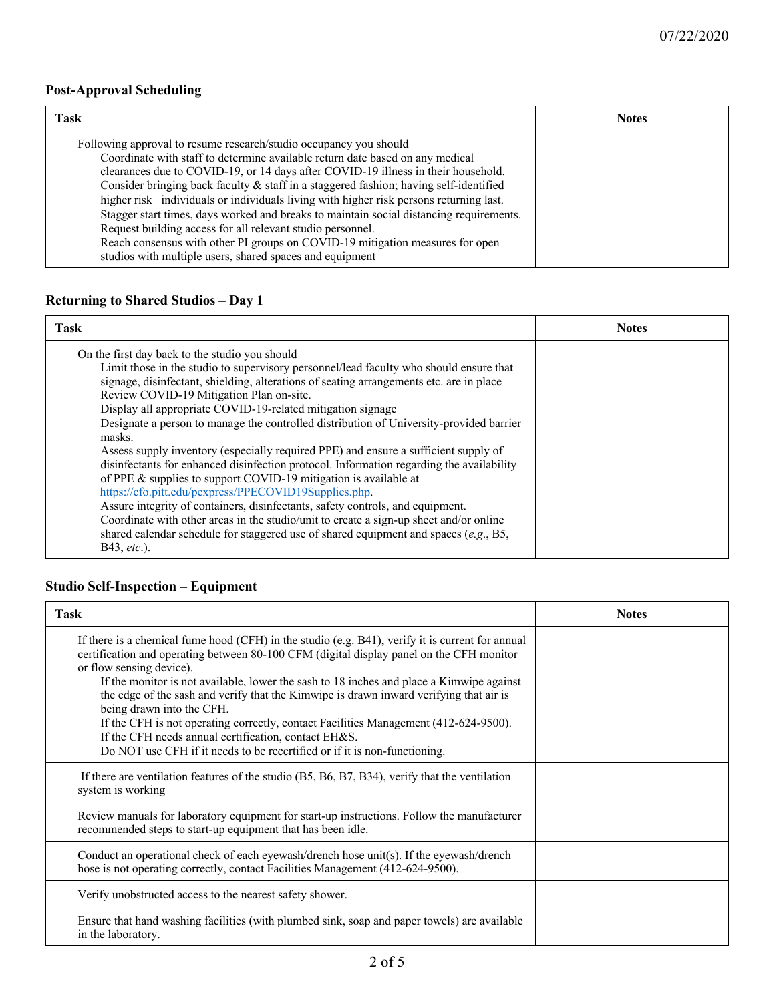### **Post-Approval Scheduling**

| <b>Task</b>                                                                                                                                                                                                                                                                                                                                                                                                                                                                                                                                                                                                                                                                                                                      | <b>Notes</b> |
|----------------------------------------------------------------------------------------------------------------------------------------------------------------------------------------------------------------------------------------------------------------------------------------------------------------------------------------------------------------------------------------------------------------------------------------------------------------------------------------------------------------------------------------------------------------------------------------------------------------------------------------------------------------------------------------------------------------------------------|--------------|
| Following approval to resume research/studio occupancy you should<br>Coordinate with staff to determine available return date based on any medical<br>clearances due to COVID-19, or 14 days after COVID-19 illness in their household.<br>Consider bringing back faculty & staff in a staggered fashion; having self-identified<br>higher risk individuals or individuals living with higher risk persons returning last.<br>Stagger start times, days worked and breaks to maintain social distancing requirements.<br>Request building access for all relevant studio personnel.<br>Reach consensus with other PI groups on COVID-19 mitigation measures for open<br>studios with multiple users, shared spaces and equipment |              |

### **Returning to Shared Studios – Day 1**

| <b>Task</b>                                                                                                                                                                                                                                                                                                                                                                                                                                                                                                                                                                                                                                                                                                                                                                                                                                                                                                                                                                                                                                            | <b>Notes</b> |
|--------------------------------------------------------------------------------------------------------------------------------------------------------------------------------------------------------------------------------------------------------------------------------------------------------------------------------------------------------------------------------------------------------------------------------------------------------------------------------------------------------------------------------------------------------------------------------------------------------------------------------------------------------------------------------------------------------------------------------------------------------------------------------------------------------------------------------------------------------------------------------------------------------------------------------------------------------------------------------------------------------------------------------------------------------|--------------|
| On the first day back to the studio you should<br>Limit those in the studio to supervisory personnel/lead faculty who should ensure that<br>signage, disinfectant, shielding, alterations of seating arrangements etc. are in place<br>Review COVID-19 Mitigation Plan on-site.<br>Display all appropriate COVID-19-related mitigation signage<br>Designate a person to manage the controlled distribution of University-provided barrier<br>masks.<br>Assess supply inventory (especially required PPE) and ensure a sufficient supply of<br>disinfectants for enhanced disinfection protocol. Information regarding the availability<br>of PPE & supplies to support COVID-19 mitigation is available at<br>https://cfo.pitt.edu/pexpress/PPECOVID19Supplies.php.<br>Assure integrity of containers, disinfectants, safety controls, and equipment.<br>Coordinate with other areas in the studio/unit to create a sign-up sheet and/or online<br>shared calendar schedule for staggered use of shared equipment and spaces (e.g., B5,<br>B43, etc.). |              |

## **Studio Self-Inspection – Equipment**

| <b>Task</b>                                                                                                                                                                                                                                                                                                                                                                                                                                                                                                                                                                                                                                                              | <b>Notes</b> |
|--------------------------------------------------------------------------------------------------------------------------------------------------------------------------------------------------------------------------------------------------------------------------------------------------------------------------------------------------------------------------------------------------------------------------------------------------------------------------------------------------------------------------------------------------------------------------------------------------------------------------------------------------------------------------|--------------|
| If there is a chemical fume hood (CFH) in the studio (e.g. B41), verify it is current for annual<br>certification and operating between 80-100 CFM (digital display panel on the CFH monitor<br>or flow sensing device).<br>If the monitor is not available, lower the sash to 18 inches and place a Kimwipe against<br>the edge of the sash and verify that the Kimwipe is drawn inward verifying that air is<br>being drawn into the CFH.<br>If the CFH is not operating correctly, contact Facilities Management (412-624-9500).<br>If the CFH needs annual certification, contact EH&S.<br>Do NOT use CFH if it needs to be recertified or if it is non-functioning. |              |
| If there are ventilation features of the studio $(B5, B6, B7, B34)$ , verify that the ventilation<br>system is working                                                                                                                                                                                                                                                                                                                                                                                                                                                                                                                                                   |              |
| Review manuals for laboratory equipment for start-up instructions. Follow the manufacturer<br>recommended steps to start-up equipment that has been idle.                                                                                                                                                                                                                                                                                                                                                                                                                                                                                                                |              |
| Conduct an operational check of each eyewash/drench hose unit(s). If the eyewash/drench<br>hose is not operating correctly, contact Facilities Management (412-624-9500).                                                                                                                                                                                                                                                                                                                                                                                                                                                                                                |              |
| Verify unobstructed access to the nearest safety shower.                                                                                                                                                                                                                                                                                                                                                                                                                                                                                                                                                                                                                 |              |
| Ensure that hand washing facilities (with plumbed sink, soap and paper towels) are available<br>in the laboratory.                                                                                                                                                                                                                                                                                                                                                                                                                                                                                                                                                       |              |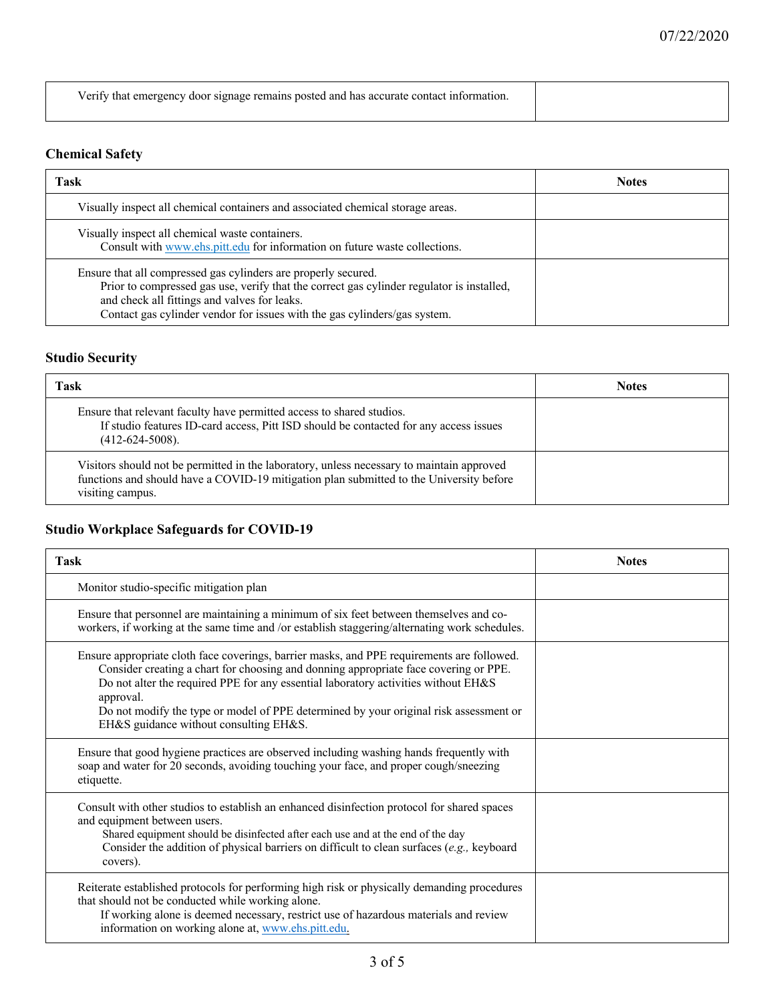| Verify that emergency door signage remains posted and has accurate contact information. |  |
|-----------------------------------------------------------------------------------------|--|
|                                                                                         |  |

### **Chemical Safety**

| <b>Task</b>                                                                                                                                                                                                                                                                              | <b>Notes</b> |
|------------------------------------------------------------------------------------------------------------------------------------------------------------------------------------------------------------------------------------------------------------------------------------------|--------------|
| Visually inspect all chemical containers and associated chemical storage areas.                                                                                                                                                                                                          |              |
| Visually inspect all chemical waste containers.<br>Consult with www.ehs.pitt.edu for information on future waste collections.                                                                                                                                                            |              |
| Ensure that all compressed gas cylinders are properly secured.<br>Prior to compressed gas use, verify that the correct gas cylinder regulator is installed,<br>and check all fittings and valves for leaks.<br>Contact gas cylinder vendor for issues with the gas cylinders/gas system. |              |

## **Studio Security**

| Task                                                                                                                                                                                                     | <b>Notes</b> |
|----------------------------------------------------------------------------------------------------------------------------------------------------------------------------------------------------------|--------------|
| Ensure that relevant faculty have permitted access to shared studios.<br>If studio features ID-card access, Pitt ISD should be contacted for any access issues<br>$(412-624-5008)$ .                     |              |
| Visitors should not be permitted in the laboratory, unless necessary to maintain approved<br>functions and should have a COVID-19 mitigation plan submitted to the University before<br>visiting campus. |              |

### **Studio Workplace Safeguards for COVID-19**

| <b>Task</b>                                                                                                                                                                                                                                                                                                                                                                                                              | <b>Notes</b> |
|--------------------------------------------------------------------------------------------------------------------------------------------------------------------------------------------------------------------------------------------------------------------------------------------------------------------------------------------------------------------------------------------------------------------------|--------------|
| Monitor studio-specific mitigation plan                                                                                                                                                                                                                                                                                                                                                                                  |              |
| Ensure that personnel are maintaining a minimum of six feet between themselves and co-<br>workers, if working at the same time and /or establish staggering/alternating work schedules.                                                                                                                                                                                                                                  |              |
| Ensure appropriate cloth face coverings, barrier masks, and PPE requirements are followed.<br>Consider creating a chart for choosing and donning appropriate face covering or PPE.<br>Do not alter the required PPE for any essential laboratory activities without EH&S<br>approval.<br>Do not modify the type or model of PPE determined by your original risk assessment or<br>EH&S guidance without consulting EH&S. |              |
| Ensure that good hygiene practices are observed including washing hands frequently with<br>soap and water for 20 seconds, avoiding touching your face, and proper cough/sneezing<br>etiquette.                                                                                                                                                                                                                           |              |
| Consult with other studios to establish an enhanced disinfection protocol for shared spaces<br>and equipment between users.<br>Shared equipment should be disinfected after each use and at the end of the day<br>Consider the addition of physical barriers on difficult to clean surfaces (e.g., keyboard<br>covers).                                                                                                  |              |
| Reiterate established protocols for performing high risk or physically demanding procedures<br>that should not be conducted while working alone.<br>If working alone is deemed necessary, restrict use of hazardous materials and review<br>information on working alone at, www.ehs.pitt.edu.                                                                                                                           |              |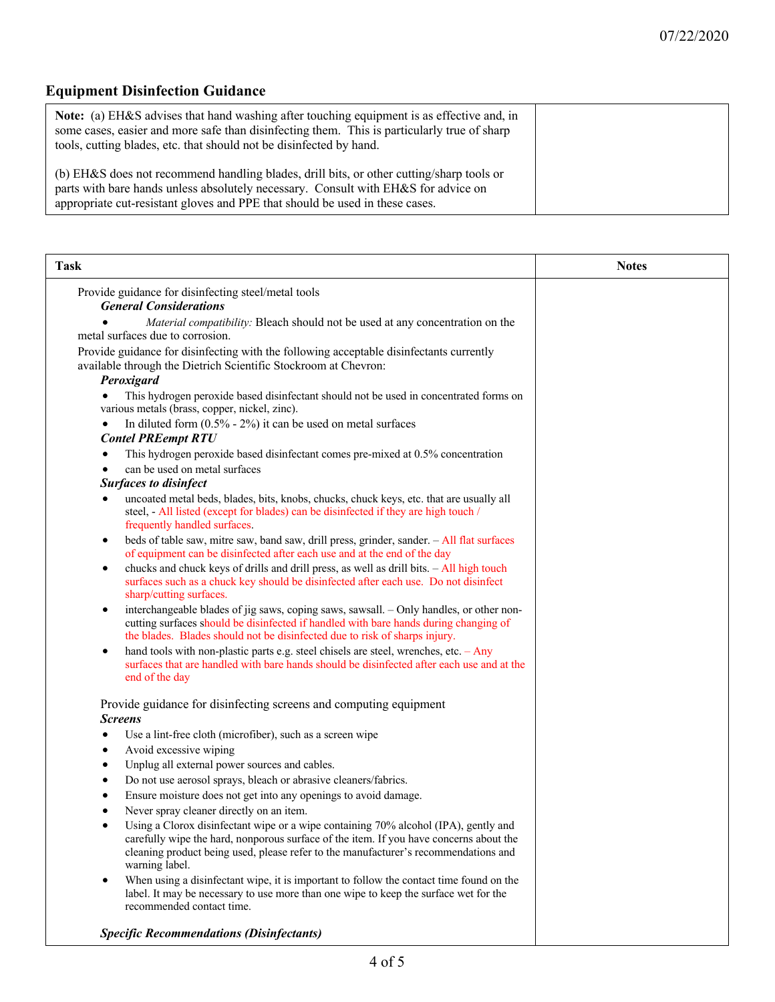# **Equipment Disinfection Guidance**

| <b>Note:</b> (a) EH&S advises that hand washing after touching equipment is as effective and, in<br>some cases, easier and more safe than disinfecting them. This is particularly true of sharp<br>tools, cutting blades, etc. that should not be disinfected by hand. |  |
|------------------------------------------------------------------------------------------------------------------------------------------------------------------------------------------------------------------------------------------------------------------------|--|
| (b) EH&S does not recommend handling blades, drill bits, or other cutting/sharp tools or<br>parts with bare hands unless absolutely necessary. Consult with EH&S for advice on<br>appropriate cut-resistant gloves and PPE that should be used in these cases.         |  |

| <b>Task</b>                                                                                                                                                                                                                                                                            | <b>Notes</b> |
|----------------------------------------------------------------------------------------------------------------------------------------------------------------------------------------------------------------------------------------------------------------------------------------|--------------|
| Provide guidance for disinfecting steel/metal tools<br><b>General Considerations</b>                                                                                                                                                                                                   |              |
| Material compatibility: Bleach should not be used at any concentration on the<br>metal surfaces due to corrosion.                                                                                                                                                                      |              |
| Provide guidance for disinfecting with the following acceptable disinfectants currently<br>available through the Dietrich Scientific Stockroom at Chevron:<br>Peroxigard                                                                                                               |              |
| This hydrogen peroxide based disinfectant should not be used in concentrated forms on<br>various metals (brass, copper, nickel, zinc).                                                                                                                                                 |              |
| In diluted form $(0.5\% - 2\%)$ it can be used on metal surfaces<br>٠<br><b>Contel PREempt RTU</b>                                                                                                                                                                                     |              |
| This hydrogen peroxide based disinfectant comes pre-mixed at 0.5% concentration                                                                                                                                                                                                        |              |
| can be used on metal surfaces                                                                                                                                                                                                                                                          |              |
| <b>Surfaces to disinfect</b>                                                                                                                                                                                                                                                           |              |
| uncoated metal beds, blades, bits, knobs, chucks, chuck keys, etc. that are usually all<br>٠<br>steel, - All listed (except for blades) can be disinfected if they are high touch /<br>frequently handled surfaces.                                                                    |              |
| beds of table saw, mitre saw, band saw, drill press, grinder, sander. - All flat surfaces<br>$\bullet$<br>of equipment can be disinfected after each use and at the end of the day                                                                                                     |              |
| chucks and chuck keys of drills and drill press, as well as drill bits. - All high touch<br>$\bullet$<br>surfaces such as a chuck key should be disinfected after each use. Do not disinfect<br>sharp/cutting surfaces.                                                                |              |
| interchangeable blades of jig saws, coping saws, sawsall. - Only handles, or other non-<br>٠<br>cutting surfaces should be disinfected if handled with bare hands during changing of<br>the blades. Blades should not be disinfected due to risk of sharps injury.                     |              |
| hand tools with non-plastic parts e.g. steel chisels are steel, wrenches, etc. - Any<br>٠<br>surfaces that are handled with bare hands should be disinfected after each use and at the<br>end of the day                                                                               |              |
| Provide guidance for disinfecting screens and computing equipment<br><b>Screens</b>                                                                                                                                                                                                    |              |
| Use a lint-free cloth (microfiber), such as a screen wipe<br>٠                                                                                                                                                                                                                         |              |
| Avoid excessive wiping<br>٠                                                                                                                                                                                                                                                            |              |
| Unplug all external power sources and cables.<br>٠                                                                                                                                                                                                                                     |              |
| Do not use aerosol sprays, bleach or abrasive cleaners/fabrics.<br>٠                                                                                                                                                                                                                   |              |
| Ensure moisture does not get into any openings to avoid damage.                                                                                                                                                                                                                        |              |
| Never spray cleaner directly on an item.                                                                                                                                                                                                                                               |              |
| Using a Clorox disinfectant wipe or a wipe containing 70% alcohol (IPA), gently and<br>carefully wipe the hard, nonporous surface of the item. If you have concerns about the<br>cleaning product being used, please refer to the manufacturer's recommendations and<br>warning label. |              |
| When using a disinfectant wipe, it is important to follow the contact time found on the<br>$\bullet$<br>label. It may be necessary to use more than one wipe to keep the surface wet for the<br>recommended contact time.                                                              |              |
| <b>Specific Recommendations (Disinfectants)</b>                                                                                                                                                                                                                                        |              |